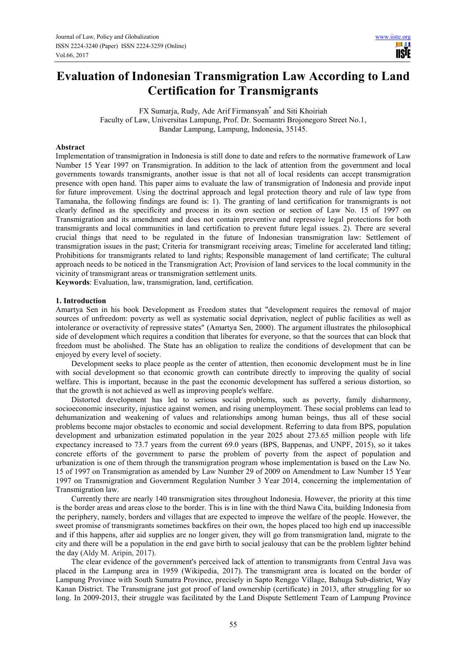ШĪ 11 STE

# **Evaluation of Indonesian Transmigration Law According to Land Certification for Transmigrants**

FX Sumarja, Rudy, Ade Arif Firmansyah\* and Siti Khoiriah Faculty of Law, Universitas Lampung, Prof. Dr. Soemantri Brojonegoro Street No.1, Bandar Lampung, Lampung, Indonesia, 35145.

### **Abstract**

Implementation of transmigration in Indonesia is still done to date and refers to the normative framework of Law Number 15 Year 1997 on Transmigration. In addition to the lack of attention from the government and local governments towards transmigrants, another issue is that not all of local residents can accept transmigration presence with open hand. This paper aims to evaluate the law of transmigration of Indonesia and provide input for future improvement. Using the doctrinal approach and legal protection theory and rule of law type from Tamanaha, the following findings are found is: 1). The granting of land certification for transmigrants is not clearly defined as the specificity and process in its own section or section of Law No. 15 of 1997 on Transmigration and its amendment and does not contain preventive and repressive legal protections for both transmigrants and local communities in land certification to prevent future legal issues. 2). There are several crucial things that need to be regulated in the future of Indonesian transmigration law: Settlement of transmigration issues in the past; Criteria for transmigrant receiving areas; Timeline for accelerated land titling; Prohibitions for transmigrants related to land rights; Responsible management of land certificate; The cultural approach needs to be noticed in the Transmigration Act; Provision of land services to the local community in the vicinity of transmigrant areas or transmigration settlement units.

**Keywords**: Evaluation, law, transmigration, land, certification.

#### **1. Introduction**

Amartya Sen in his book Development as Freedom states that "development requires the removal of major sources of unfreedom: poverty as well as systematic social deprivation, neglect of public facilities as well as intolerance or overactivity of repressive states" (Amartya Sen, 2000). The argument illustrates the philosophical side of development which requires a condition that liberates for everyone, so that the sources that can block that freedom must be abolished. The State has an obligation to realize the conditions of development that can be enjoyed by every level of society.

Development seeks to place people as the center of attention, then economic development must be in line with social development so that economic growth can contribute directly to improving the quality of social welfare. This is important, because in the past the economic development has suffered a serious distortion, so that the growth is not achieved as well as improving people's welfare.

Distorted development has led to serious social problems, such as poverty, family disharmony, socioeconomic insecurity, injustice against women, and rising unemployment. These social problems can lead to dehumanization and weakening of values and relationships among human beings, thus all of these social problems become major obstacles to economic and social development. Referring to data from BPS, population development and urbanization estimated population in the year 2025 about 273.65 million people with life expectancy increased to 73.7 years from the current 69.0 years (BPS, Bappenas, and UNPF, 2015), so it takes concrete efforts of the government to parse the problem of poverty from the aspect of population and urbanization is one of them through the transmigration program whose implementation is based on the Law No. 15 of 1997 on Transmigration as amended by Law Number 29 of 2009 on Amendment to Law Number 15 Year 1997 on Transmigration and Government Regulation Number 3 Year 2014, concerning the implementation of Transmigration law.

Currently there are nearly 140 transmigration sites throughout Indonesia. However, the priority at this time is the border areas and areas close to the border. This is in line with the third Nawa Cita, building Indonesia from the periphery, namely, borders and villages that are expected to improve the welfare of the people. However, the sweet promise of transmigrants sometimes backfires on their own, the hopes placed too high end up inaccessible and if this happens, after aid supplies are no longer given, they will go from transmigration land, migrate to the city and there will be a population in the end gave birth to social jealousy that can be the problem lighter behind the day (Aldy M. Aripin, 2017).

The clear evidence of the government's perceived lack of attention to transmigrants from Central Java was placed in the Lampung area in 1959 (Wikipedia, 2017). The transmigrant area is located on the border of Lampung Province with South Sumatra Province, precisely in Sapto Renggo Village, Bahuga Sub-district, Way Kanan District. The Transmigrane just got proof of land ownership (certificate) in 2013, after struggling for so long. In 2009-2013, their struggle was facilitated by the Land Dispute Settlement Team of Lampung Province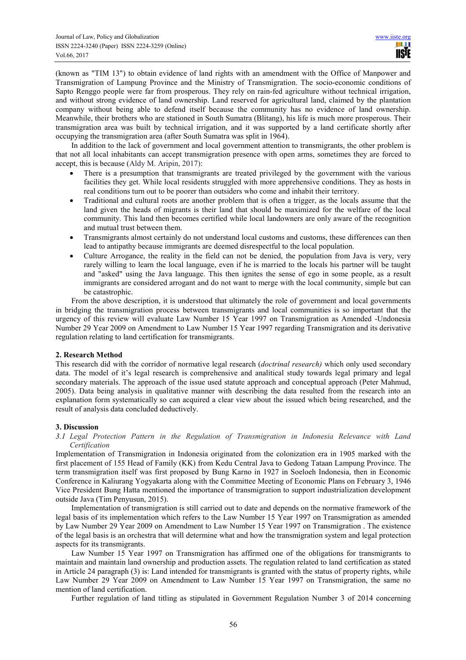(known as "TIM 13") to obtain evidence of land rights with an amendment with the Office of Manpower and Transmigration of Lampung Province and the Ministry of Transmigration. The socio-economic conditions of Sapto Renggo people were far from prosperous. They rely on rain-fed agriculture without technical irrigation, and without strong evidence of land ownership. Land reserved for agricultural land, claimed by the plantation company without being able to defend itself because the community has no evidence of land ownership. Meanwhile, their brothers who are stationed in South Sumatra (Blitang), his life is much more prosperous. Their transmigration area was built by technical irrigation, and it was supported by a land certificate shortly after occupying the transmigration area (after South Sumatra was split in 1964).

In addition to the lack of government and local government attention to transmigrants, the other problem is that not all local inhabitants can accept transmigration presence with open arms, sometimes they are forced to accept, this is because (Aldy M. Aripin, 2017):

- There is a presumption that transmigrants are treated privileged by the government with the various facilities they get. While local residents struggled with more apprehensive conditions. They as hosts in real conditions turn out to be poorer than outsiders who come and inhabit their territory.
- Traditional and cultural roots are another problem that is often a trigger, as the locals assume that the land given the heads of migrants is their land that should be maximized for the welfare of the local community. This land then becomes certified while local landowners are only aware of the recognition and mutual trust between them.
- Transmigrants almost certainly do not understand local customs and customs, these differences can then lead to antipathy because immigrants are deemed disrespectful to the local population.
- Culture Arrogance, the reality in the field can not be denied, the population from Java is very, very rarely willing to learn the local language, even if he is married to the locals his partner will be taught and "asked" using the Java language. This then ignites the sense of ego in some people, as a result immigrants are considered arrogant and do not want to merge with the local community, simple but can be catastrophic.

From the above description, it is understood that ultimately the role of government and local governments in bridging the transmigration process between transmigrants and local communities is so important that the urgency of this review will evaluate Law Number 15 Year 1997 on Transmigration as Amended -Undonesia Number 29 Year 2009 on Amendment to Law Number 15 Year 1997 regarding Transmigration and its derivative regulation relating to land certification for transmigrants.

## **2. Research Method**

This research did with the corridor of normative legal research (*doctrinal research)* which only used secondary data. The model of it's legal research is comprehensive and analitical study towards legal primary and legal secondary materials. The approach of the issue used statute approach and conceptual approach (Peter Mahmud, 2005). Data being analysis in qualitative manner with describing the data resulted from the research into an explanation form systematically so can acquired a clear view about the issued which being researched, and the result of analysis data concluded deductively.

## **3. Discussion**

*3.1 Legal Protection Pattern in the Regulation of Transmigration in Indonesia Relevance with Land Certification*

Implementation of Transmigration in Indonesia originated from the colonization era in 1905 marked with the first placement of 155 Head of Family (KK) from Kedu Central Java to Gedong Tataan Lampung Province. The term transmigration itself was first proposed by Bung Karno in 1927 in Soeloeh Indonesia, then in Economic Conference in Kaliurang Yogyakarta along with the Committee Meeting of Economic Plans on February 3, 1946 Vice President Bung Hatta mentioned the importance of transmigration to support industrialization development outside Java (Tim Penyusun, 2015).

Implementation of transmigration is still carried out to date and depends on the normative framework of the legal basis of its implementation which refers to the Law Number 15 Year 1997 on Transmigration as amended by Law Number 29 Year 2009 on Amendment to Law Number 15 Year 1997 on Transmigration . The existence of the legal basis is an orchestra that will determine what and how the transmigration system and legal protection aspects for its transmigrants.

Law Number 15 Year 1997 on Transmigration has affirmed one of the obligations for transmigrants to maintain and maintain land ownership and production assets. The regulation related to land certification as stated in Article 24 paragraph (3) is: Land intended for transmigrants is granted with the status of property rights, while Law Number 29 Year 2009 on Amendment to Law Number 15 Year 1997 on Transmigration, the same no mention of land certification.

Further regulation of land titling as stipulated in Government Regulation Number 3 of 2014 concerning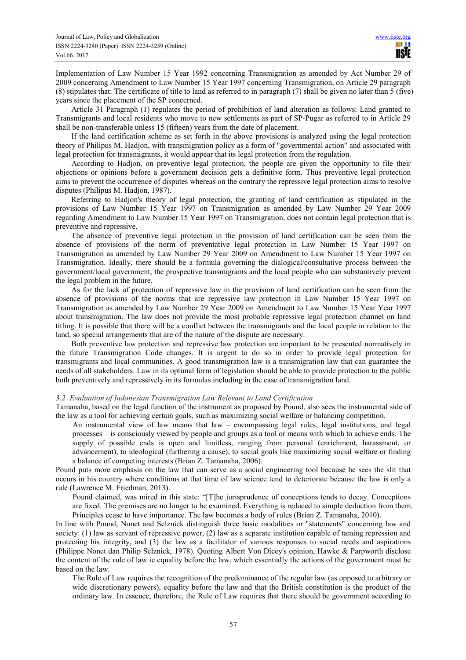Implementation of Law Number 15 Year 1992 concerning Transmigration as amended by Act Number 29 of 2009 concerning Amendment to Law Number 15 Year 1997 concerning Transmigration, on Article 29 paragraph (8) stipulates that: The certificate of title to land as referred to in paragraph (7) shall be given no later than 5 (five) years since the placement of the SP concerned.

Article 31 Paragraph (1) regulates the period of prohibition of land alteration as follows: Land granted to Transmigrants and local residents who move to new settlements as part of SP-Pugar as referred to in Article 29 shall be non-transferable unless 15 (fifteen) years from the date of placement.

If the land certification scheme as set forth in the above provisions is analyzed using the legal protection theory of Philipus M. Hadjon, with transmigration policy as a form of "governmental action" and associated with legal protection for transmigrants, it would appear that its legal protection from the regulation.

According to Hadjon, on preventive legal protection, the people are given the opportunity to file their objections or opinions before a government decision gets a definitive form. Thus preventive legal protection aims to prevent the occurrence of disputes whereas on the contrary the repressive legal protection aims to resolve disputes (Philipus M. Hadjon, 1987).

Referring to Hadjon's theory of legal protection, the granting of land certification as stipulated in the provisions of Law Number 15 Year 1997 on Transmigration as amended by Law Number 29 Year 2009 regarding Amendment to Law Number 15 Year 1997 on Transmigration, does not contain legal protection that is preventive and repressive.

The absence of preventive legal protection in the provision of land certification can be seen from the absence of provisions of the norm of preventative legal protection in Law Number 15 Year 1997 on Transmigration as amended by Law Number 29 Year 2009 on Amendment to Law Number 15 Year 1997 on Transmigration. Ideally, there should be a formula governing the dialogical/consultative process between the government/local government, the prospective transmigrants and the local people who can substantively prevent the legal problem in the future.

As for the lack of protection of repressive law in the provision of land certification can be seen from the absence of provisions of the norms that are repressive law protection in Law Number 15 Year 1997 on Transmigration as amended by Law Number 29 Year 2009 on Amendment to Law Number 15 Year Year 1997 about transmigration. The law does not provide the most probable repressive legal protection channel on land titling. It is possible that there will be a conflict between the transmigrants and the local people in relation to the land, so special arrangements that are of the nature of the dispute are necessary.

Both preventive law protection and repressive law protection are important to be presented normatively in the future Transmigration Code changes. It is urgent to do so in order to provide legal protection for transmigrants and local communities. A good transmigration law is a transmigration law that can guarantee the needs of all stakeholders. Law in its optimal form of legislation should be able to provide protection to the public both preventively and repressively in its formulas including in the case of transmigration land.

#### *3.2 Evaluation of Indonesian Transmigration Law Relevant to Land Certification*

Tamanaha, based on the legal function of the instrument as proposed by Pound, also sees the instrumental side of the law as a tool for achieving certain goals, such as maximizing social welfare or balancing competition.

An instrumental view of law means that law – encompassing legal rules, legal institutions, and legal processes – is consciously viewed by people and groups as a tool or means with which to achieve ends. The supply of possible ends is open and limitless, ranging from personal (enrichment, harassment, or advancement), to ideological (furthering a cause), to social goals like maximizing social welfare or finding a balance of competing interests (Brian Z. Tamanaha, 2006).

Pound puts more emphasis on the law that can serve as a social engineering tool because he sees the slit that occurs in his country where conditions at that time of law science tend to deteriorate because the law is only a rule (Lawrence M. Friedman, 2013).

Pound claimed, was mired in this state: "[T]he jurisprudence of conceptions tends to decay. Conceptions are fixed. The premises are no longer to be examined. Everything is reduced to simple deduction from them. Principles cease to have importance. The law becomes a body of rules (Brian Z. Tamanaha, 2010).

In line with Pound, Nonet and Selznick distinguish three basic modalities or "statements" concerning law and society: (1) law as servant of repressive power, (2) law as a separate institution capable of taming repression and protecting his integrity, and (3) the law as a facilitator of various responses to social needs and aspirations (Philippe Nonet dan Philip Selznick, 1978). Quoting Albert Von Dicey's opinion, Hawke & Parpworth disclose the content of the rule of law ie equality before the law, which essentially the actions of the government must be based on the law.

The Rule of Law requires the recognition of the predominance of the regular law (as opposed to arbitrary or wide discretionary powers), equality before the law and that the British constitution is the product of the ordinary law. In essence, therefore, the Rule of Law requires that there should be government according to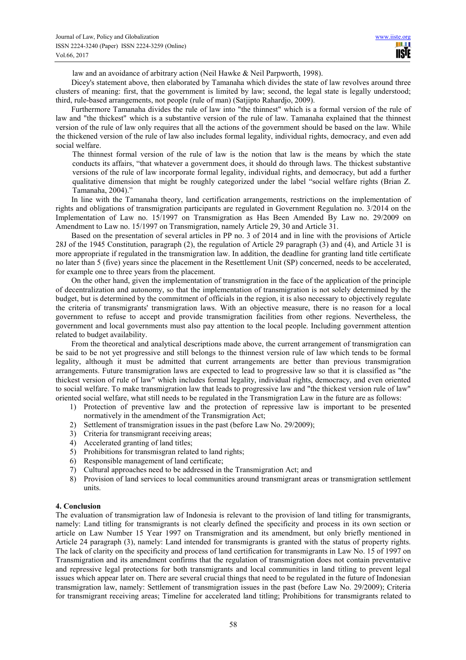law and an avoidance of arbitrary action (Neil Hawke & Neil Parpworth, 1998).

Dicey's statement above, then elaborated by Tamanaha which divides the state of law revolves around three clusters of meaning: first, that the government is limited by law; second, the legal state is legally understood; third, rule-based arrangements, not people (rule of man) (Satjipto Rahardjo, 2009).

Furthermore Tamanaha divides the rule of law into "the thinnest" which is a formal version of the rule of law and "the thickest" which is a substantive version of the rule of law. Tamanaha explained that the thinnest version of the rule of law only requires that all the actions of the government should be based on the law. While the thickened version of the rule of law also includes formal legality, individual rights, democracy, and even add social welfare.

The thinnest formal version of the rule of law is the notion that law is the means by which the state conducts its affairs, "that whatever a government does, it should do through laws. The thickest substantive versions of the rule of law incorporate formal legality, individual rights, and democracy, but add a further qualitative dimension that might be roughly categorized under the label "social welfare rights (Brian Z. Tamanaha, 2004)."

In line with the Tamanaha theory, land certification arrangements, restrictions on the implementation of rights and obligations of transmigration participants are regulated in Government Regulation no. 3/2014 on the Implementation of Law no. 15/1997 on Transmigration as Has Been Amended By Law no. 29/2009 on Amendment to Law no. 15/1997 on Transmigration, namely Article 29, 30 and Article 31.

Based on the presentation of several articles in PP no. 3 of 2014 and in line with the provisions of Article 28J of the 1945 Constitution, paragraph (2), the regulation of Article 29 paragraph (3) and (4), and Article 31 is more appropriate if regulated in the transmigration law. In addition, the deadline for granting land title certificate no later than 5 (five) years since the placement in the Resettlement Unit (SP) concerned, needs to be accelerated, for example one to three years from the placement.

On the other hand, given the implementation of transmigration in the face of the application of the principle of decentralization and autonomy, so that the implementation of transmigration is not solely determined by the budget, but is determined by the commitment of officials in the region, it is also necessary to objectively regulate the criteria of transmigrants' transmigration laws. With an objective measure, there is no reason for a local government to refuse to accept and provide transmigration facilities from other regions. Nevertheless, the government and local governments must also pay attention to the local people. Including government attention related to budget availability.

From the theoretical and analytical descriptions made above, the current arrangement of transmigration can be said to be not yet progressive and still belongs to the thinnest version rule of law which tends to be formal legality, although it must be admitted that current arrangements are better than previous transmigration arrangements. Future transmigration laws are expected to lead to progressive law so that it is classified as "the thickest version of rule of law" which includes formal legality, individual rights, democracy, and even oriented to social welfare. To make transmigration law that leads to progressive law and "the thickest version rule of law" oriented social welfare, what still needs to be regulated in the Transmigration Law in the future are as follows:

- 1) Protection of preventive law and the protection of repressive law is important to be presented normatively in the amendment of the Transmigration Act;
- 2) Settlement of transmigration issues in the past (before Law No. 29/2009);
- 3) Criteria for transmigrant receiving areas;
- 4) Accelerated granting of land titles;
- 5) Prohibitions for transmisgran related to land rights;
- 6) Responsible management of land certificate;
- 7) Cultural approaches need to be addressed in the Transmigration Act; and
- 8) Provision of land services to local communities around transmigrant areas or transmigration settlement units.

#### **4. Conclusion**

The evaluation of transmigration law of Indonesia is relevant to the provision of land titling for transmigrants, namely: Land titling for transmigrants is not clearly defined the specificity and process in its own section or article on Law Number 15 Year 1997 on Transmigration and its amendment, but only briefly mentioned in Article 24 paragraph (3), namely: Land intended for transmigrants is granted with the status of property rights. The lack of clarity on the specificity and process of land certification for transmigrants in Law No. 15 of 1997 on Transmigration and its amendment confirms that the regulation of transmigration does not contain preventative and repressive legal protections for both transmigrants and local communities in land titling to prevent legal issues which appear later on. There are several crucial things that need to be regulated in the future of Indonesian transmigration law, namely: Settlement of transmigration issues in the past (before Law No. 29/2009); Criteria for transmigrant receiving areas; Timeline for accelerated land titling; Prohibitions for transmigrants related to